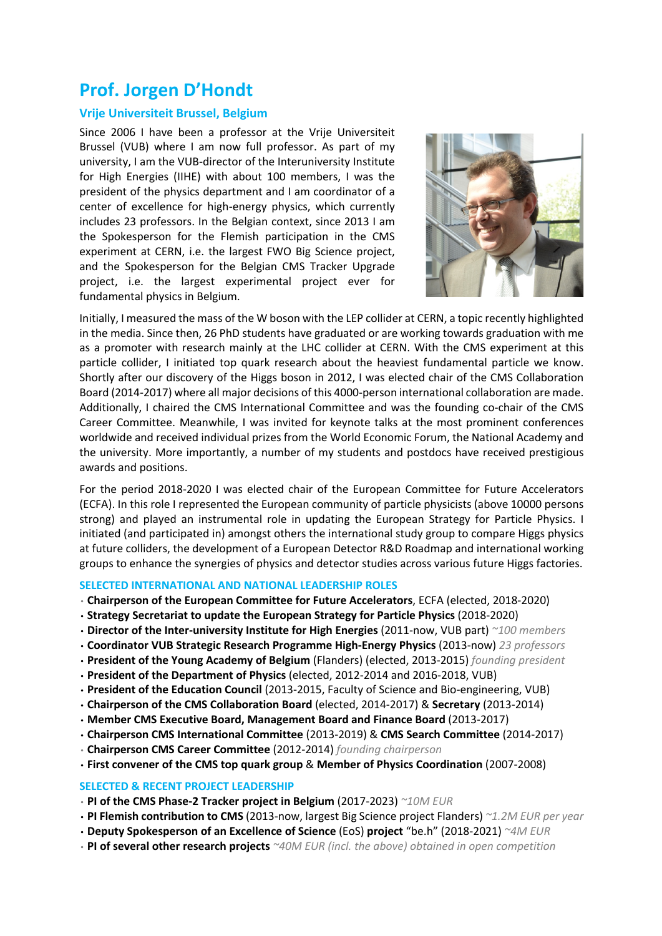# **Prof. Jorgen D'Hondt**

## **Vrije Universiteit Brussel, Belgium**

Since 2006 I have been a professor at the Vrije Universiteit Brussel (VUB) where I am now full professor. As part of my university, I am the VUB-director of the Interuniversity Institute for High Energies (IIHE) with about 100 members, I was the president of the physics department and I am coordinator of a center of excellence for high-energy physics, which currently includes 23 professors. In the Belgian context, since 2013 I am the Spokesperson for the Flemish participation in the CMS experiment at CERN, i.e. the largest FWO Big Science project, and the Spokesperson for the Belgian CMS Tracker Upgrade project, i.e. the largest experimental project ever for fundamental physics in Belgium.



Initially, I measured the mass of the W boson with the LEP collider at CERN, a topic recently highlighted in the media. Since then, 26 PhD students have graduated or are working towards graduation with me as a promoter with research mainly at the LHC collider at CERN. With the CMS experiment at this particle collider, I initiated top quark research about the heaviest fundamental particle we know. Shortly after our discovery of the Higgs boson in 2012, I was elected chair of the CMS Collaboration Board (2014-2017) where all major decisions of this 4000-person international collaboration are made. Additionally, I chaired the CMS International Committee and was the founding co-chair of the CMS Career Committee. Meanwhile, I was invited for keynote talks at the most prominent conferences worldwide and received individual prizes from the World Economic Forum, the National Academy and the university. More importantly, a number of my students and postdocs have received prestigious awards and positions.

For the period 2018-2020 I was elected chair of the European Committee for Future Accelerators (ECFA). In this role I represented the European community of particle physicists (above 10000 persons strong) and played an instrumental role in updating the European Strategy for Particle Physics. I initiated (and participated in) amongst others the international study group to compare Higgs physics at future colliders, the development of a European Detector R&D Roadmap and international working groups to enhance the synergies of physics and detector studies across various future Higgs factories.

## **SELECTED INTERNATIONAL AND NATIONAL LEADERSHIP ROLES**

- **Chairperson of the European Committee for Future Accelerators**, ECFA (elected, 2018-2020)
- **Strategy Secretariat to update the European Strategy for Particle Physics** (2018-2020)
- **Director of the Inter-university Institute for High Energies** (2011-now, VUB part) *~100 members*
- **Coordinator VUB Strategic Research Programme High-Energy Physics** (2013-now) *23 professors*
- **President of the Young Academy of Belgium** (Flanders) (elected, 2013-2015) *founding president*
- **President of the Department of Physics** (elected, 2012-2014 and 2016-2018, VUB)
- **President of the Education Council** (2013-2015, Faculty of Science and Bio-engineering, VUB)
- **Chairperson of the CMS Collaboration Board** (elected, 2014-2017) & **Secretary** (2013-2014)
- **Member CMS Executive Board, Management Board and Finance Board** (2013-2017)
- **Chairperson CMS International Committee** (2013-2019) & **CMS Search Committee** (2014-2017)
- **Chairperson CMS Career Committee** (2012-2014) *founding chairperson*
- **First convener of the CMS top quark group** & **Member of Physics Coordination** (2007-2008)

## **SELECTED & RECENT PROJECT LEADERSHIP**

- **PI of the CMS Phase-2 Tracker project in Belgium** (2017-2023) *~10M EUR*
- **PI Flemish contribution to CMS** (2013-now, largest Big Science project Flanders) *~1.2M EUR per year*
- **Deputy Spokesperson of an Excellence of Science** (EoS) **project** "be.h" (2018-2021) *~4M EUR*
- **PI of several other research projects** *~40M EUR (incl. the above) obtained in open competition*